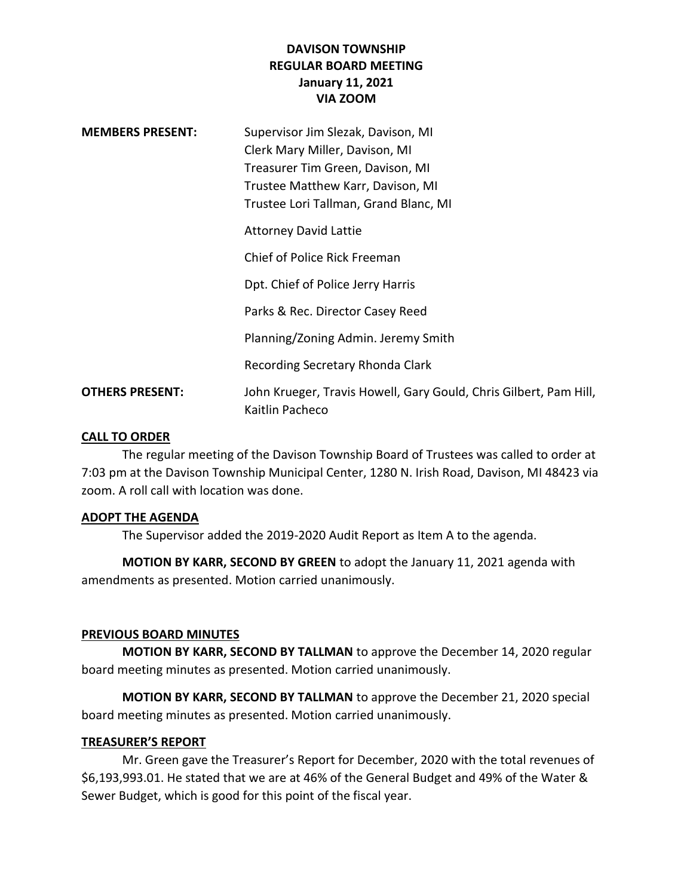# **DAVISON TOWNSHIP REGULAR BOARD MEETING January 11, 2021 VIA ZOOM**

| <b>MEMBERS PRESENT:</b> | Supervisor Jim Slezak, Davison, MI<br>Clerk Mary Miller, Davison, MI<br>Treasurer Tim Green, Davison, MI<br>Trustee Matthew Karr, Davison, MI<br>Trustee Lori Tallman, Grand Blanc, MI |
|-------------------------|----------------------------------------------------------------------------------------------------------------------------------------------------------------------------------------|
|                         | <b>Attorney David Lattie</b><br>Chief of Police Rick Freeman                                                                                                                           |
|                         | Dpt. Chief of Police Jerry Harris                                                                                                                                                      |
|                         | Parks & Rec. Director Casey Reed<br>Planning/Zoning Admin. Jeremy Smith                                                                                                                |
|                         | Recording Secretary Rhonda Clark                                                                                                                                                       |
| <b>OTHERS PRESENT:</b>  | John Krueger, Travis Howell, Gary Gould, Chris Gilbert, Pam Hill,<br>Kaitlin Pacheco                                                                                                   |

#### **CALL TO ORDER**

The regular meeting of the Davison Township Board of Trustees was called to order at 7:03 pm at the Davison Township Municipal Center, 1280 N. Irish Road, Davison, MI 48423 via zoom. A roll call with location was done.

#### **ADOPT THE AGENDA**

The Supervisor added the 2019-2020 Audit Report as Item A to the agenda.

**MOTION BY KARR, SECOND BY GREEN** to adopt the January 11, 2021 agenda with amendments as presented. Motion carried unanimously.

# **PREVIOUS BOARD MINUTES**

**MOTION BY KARR, SECOND BY TALLMAN** to approve the December 14, 2020 regular board meeting minutes as presented. Motion carried unanimously.

**MOTION BY KARR, SECOND BY TALLMAN** to approve the December 21, 2020 special board meeting minutes as presented. Motion carried unanimously.

# **TREASURER'S REPORT**

Mr. Green gave the Treasurer's Report for December, 2020 with the total revenues of \$6,193,993.01. He stated that we are at 46% of the General Budget and 49% of the Water & Sewer Budget, which is good for this point of the fiscal year.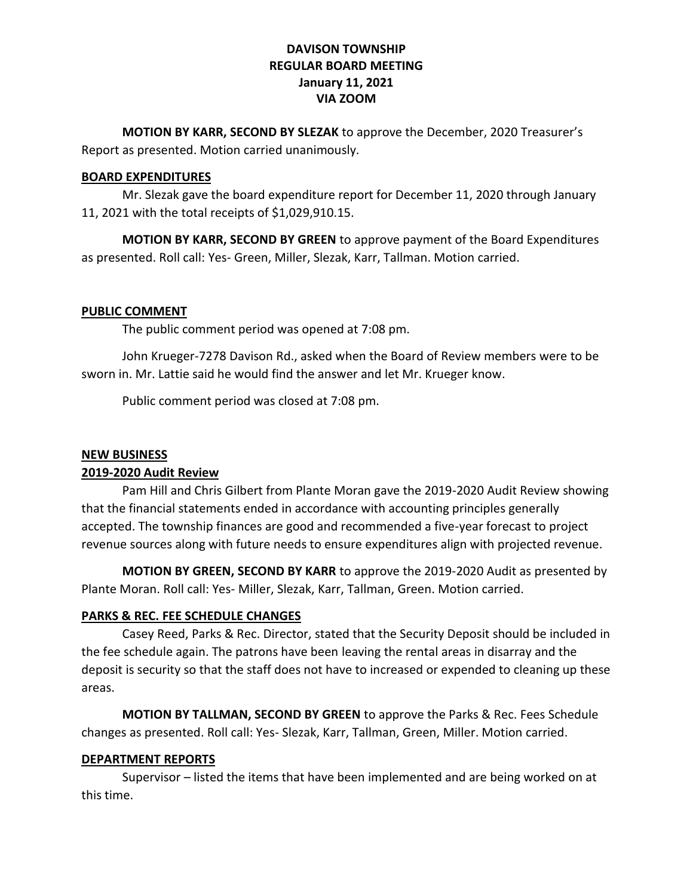# **DAVISON TOWNSHIP REGULAR BOARD MEETING January 11, 2021 VIA ZOOM**

**MOTION BY KARR, SECOND BY SLEZAK** to approve the December, 2020 Treasurer's Report as presented. Motion carried unanimously.

# **BOARD EXPENDITURES**

Mr. Slezak gave the board expenditure report for December 11, 2020 through January 11, 2021 with the total receipts of \$1,029,910.15.

**MOTION BY KARR, SECOND BY GREEN** to approve payment of the Board Expenditures as presented. Roll call: Yes- Green, Miller, Slezak, Karr, Tallman. Motion carried.

#### **PUBLIC COMMENT**

The public comment period was opened at 7:08 pm.

John Krueger-7278 Davison Rd., asked when the Board of Review members were to be sworn in. Mr. Lattie said he would find the answer and let Mr. Krueger know.

Public comment period was closed at 7:08 pm.

### **NEW BUSINESS**

# **2019-2020 Audit Review**

Pam Hill and Chris Gilbert from Plante Moran gave the 2019-2020 Audit Review showing that the financial statements ended in accordance with accounting principles generally accepted. The township finances are good and recommended a five-year forecast to project revenue sources along with future needs to ensure expenditures align with projected revenue.

**MOTION BY GREEN, SECOND BY KARR** to approve the 2019-2020 Audit as presented by Plante Moran. Roll call: Yes- Miller, Slezak, Karr, Tallman, Green. Motion carried.

# **PARKS & REC. FEE SCHEDULE CHANGES**

Casey Reed, Parks & Rec. Director, stated that the Security Deposit should be included in the fee schedule again. The patrons have been leaving the rental areas in disarray and the deposit is security so that the staff does not have to increased or expended to cleaning up these areas.

**MOTION BY TALLMAN, SECOND BY GREEN** to approve the Parks & Rec. Fees Schedule changes as presented. Roll call: Yes- Slezak, Karr, Tallman, Green, Miller. Motion carried.

# **DEPARTMENT REPORTS**

Supervisor – listed the items that have been implemented and are being worked on at this time.